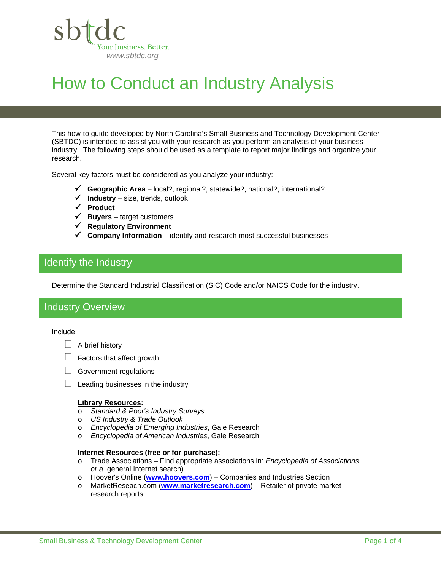

# How to Conduct an Industry Analysis

This how-to guide developed by North Carolina's Small Business and Technology Development Center (SBTDC) is intended to assist you with your research as you perform an analysis of your business industry. The following steps should be used as a template to report major findings and organize your research.

Several key factors must be considered as you analyze your industry:

- **Geographic Area**  local?, regional?, statewide?, national?, international?
- $\checkmark$  Industry size, trends, outlook
- **Product**
- $\checkmark$  **Buyers** target customers
- **Regulatory Environment**
- **Company Information** identify and research most successful businesses

# Identify the Industry

Determine the Standard Industrial Classification (SIC) Code and/or NAICS Code for the industry.

# Industry Overview

#### Include:

ı

### $\Box$  A brief history

- $\Box$  Factors that affect growth
- $\Box$  Government regulations
- $\Box$  Leading businesses in the industry

### **Library Resources:**

- o *Standard & Poor's Industry Surveys*
- o *US Industry & Trade Outlook*
- o *Encyclopedia of Emerging Industries*, Gale Research
- o *Encyclopedia of American Industries*, Gale Research

### **Internet Resources (free or for purchase):**

- o Trade Associations Find appropriate associations in: *Encyclopedia of Associations or a* general Internet search)
- o Hoover's Online (**www.hoovers.com**) Companies and Industries Section
- o MarketReseach.com (**www.marketresearch.com**) Retailer of private market research reports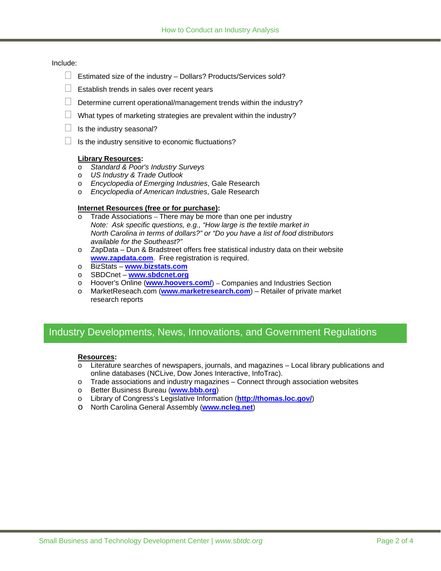## Include:

- $\Box$  Estimated size of the industry Dollars? Products/Services sold?
- $\Box$  Establish trends in sales over recent years
- $\Box$  Determine current operational/management trends within the industry?
- $\Box$  What types of marketing strategies are prevalent within the industry?
- $\Box$  Is the industry seasonal?
- $\Box$  Is the industry sensitive to economic fluctuations?

### **Library Resources:**

- o *Standard & Poor's Industry Surveys*
- o *US Industry & Trade Outlook*
- o *Encyclopedia of Emerging Industries*, Gale Research
- o *Encyclopedia of American Industries*, Gale Research

### **Internet Resources (free or for purchase):**

- o Trade Associations *–* There may be more than one per industry  *Note: Ask specific questions, e.g., "How large is the textile market in North Carolina in terms of dollars?" or "Do you have a list of food distributors available for the Southeast?"*
- o ZapData Dun & Bradstreet offers free statistical industry data on their website **www.zapdata.com**. Free registration is required.
- o BizStats **www.bizstats.com**
- o SBDCnet **www.sbdcnet.org**
- o Hoover's Online (**www.hoovers.com/**) Companies and Industries Section
- o MarketReseach.com (**www.marketresearch.com**) Retailer of private market research reports

# Industry Developments, News, Innovations, and Government Regulations

### **Resources:**

- o Literature searches of newspapers, journals, and magazines Local library publications and online databases (NCLive, Dow Jones Interactive, InfoTrac).
- $\circ$  Trade associations and industry magazines Connect through association websites
- o Better Business Bureau (**www.bbb.org**)
- o Library of Congress's Legislative Information (**http://thomas.loc.gov/**)
- o North Carolina General Assembly (**www.ncleg.net**)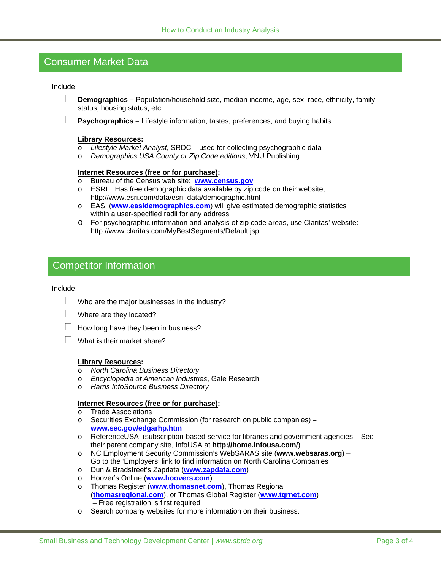# Consumer Market Data

#### Include:

- **Demographics** Population/household size, median income, age, sex, race, ethnicity, family status, housing status, etc.
- **Psychographics** Lifestyle information, tastes, preferences, and buying habits

#### **Library Resources:**

- o *Lifestyle Market Analyst*, SRDC used for collecting psychographic data
- o *Demographics USA County or Zip Code editions*, VNU Publishing

#### **Internet Resources (free or for purchase):**

- o Bureau of the Census web site: **www.census.gov**
- o ESRI Has free demographic data available by zip code on their website, http://www.esri.com/data/esri\_data/demographic.html
- o EASI (**www.easidemographics.com**) will give estimated demographic statistics within a user-specified radii for any address
- o For psychographic information and analysis of zip code areas, use Claritas' website: http://www.claritas.com/MyBestSegments/Default.jsp

# Competitor Information

#### Include:

- $\Box$  Who are the major businesses in the industry?
- $\Box$  Where are they located?
- $\Box$  How long have they been in business?
- $\Box$  What is their market share?

#### **Library Resources:**

- o *North Carolina Business Directory*
- o *Encyclopedia of American Industries*, Gale Research
- o *Harris InfoSource Business Directory*

#### **Internet Resources (free or for purchase):**

- o Trade Associations
- o Securities Exchange Commission (for research on public companies) *–* **www.sec.gov/edgarhp.htm**
- o ReferenceUSA (subscription-based service for libraries and government agencies See their parent company site, InfoUSA at **http://home.infousa.com/**)
- o NC Employment Security Commission's WebSARAS site (**www.websaras.org**) Go to the 'Employers' link to find information on North Carolina Companies
- o Dun & Bradstreet's Zapdata (**www.zapdata.com**)
- o Hoover's Online (**www.hoovers.com**)
- o Thomas Register (**www.thomasnet.com**), Thomas Regional (**thomasregional.com**), or Thomas Global Register (**www.tgrnet.com**) – Free registration is first required
- o Search company websites for more information on their business.